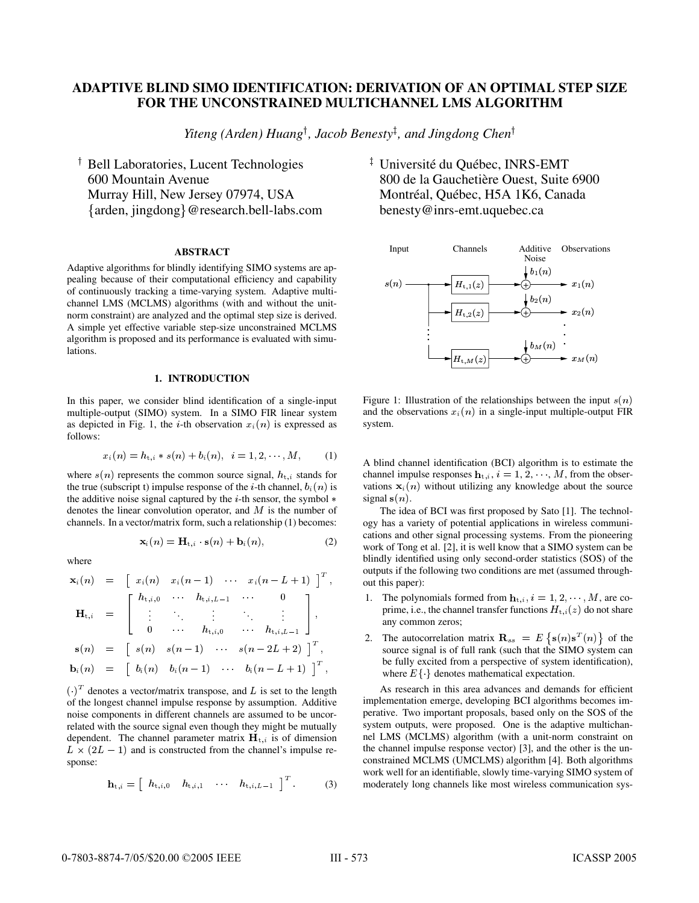## **ADAPTIVE BLIND SIMO IDENTIFICATION: DERIVATION OF AN OPTIMAL STEP SIZE FOR THE UNCONSTRAINED MULTICHANNEL LMS ALGORITHM**

Yiteng (Arden) Huang<sup>†</sup>, Jacob Benesty<sup>‡</sup>, and Jingdong Chen<sup>†</sup>

 Bell Laboratories, Lucent Technologies 600 Mountain Avenue Murray Hill, New Jersey 07974, USA - arden, jingdong @research.bell-labs.com

## **ABSTRACT**

Adaptive algorithms for blindly identifying SIMO systems are appealing because of their computational efficiency and capability of continuously tracking a time-varying system. Adaptive multichannel LMS (MCLMS) algorithms (with and without the unitnorm constraint) are analyzed and the optimal step size is derived. A simple yet effective variable step-size unconstrained MCLMS algorithm is proposed and its performance is evaluated with simulations.

## **1. INTRODUCTION**

In this paper, we consider blind identification of a single-input multiple-output (SIMO) system. In a SIMO FIR linear system as depicted in Fig. 1, the *i*-th observation  $x_i(n)$  is expressed as follows:

$$
x_i(n) = h_{t,i} * s(n) + b_i(n), \quad i = 1, 2, \cdots, M,
$$
 (1)

where  $s(n)$  represents the common source signal,  $h_{t,i}$  stands for the true (subscript t) impulse response of the *i*-th channel,  $b_i(n)$  is the additive noise signal captured by the  $i$ -th sensor, the symbol  $*$ denotes the linear convolution operator, and  $M$  is the number of channels. In a vector/matrix form, such a relationship (1) becomes:

$$
\mathbf{x}_{i}(n) = \mathbf{H}_{t,i} \cdot \mathbf{s}(n) + \mathbf{b}_{i}(n), \tag{2}
$$

where

$$
\mathbf{x}_{i}(n) = \begin{bmatrix} x_{i}(n) & x_{i}(n-1) & \cdots & x_{i}(n-L+1) \end{bmatrix}^{T}, \qquad \begin{matrix} \\ \\ \\ \\ \end{matrix}
$$

$$
\mathbf{H}_{t,i} = \begin{bmatrix} h_{t,i,0} & \cdots & h_{t,i,L-1} & \cdots & 0 \\ \vdots & \ddots & \vdots & \ddots & \vdots \\ 0 & \cdots & h_{t,i,0} & \cdots & h_{t,i,L-1} \end{bmatrix},
$$

$$
\mathbf{s}(n) = \begin{bmatrix} s(n) & s(n-1) & \cdots & s(n-2L+2) \end{bmatrix}^{T},
$$

$$
\mathbf{b}_{i}(n) = \begin{bmatrix} b_{i}(n) & b_{i}(n-1) & \cdots & b_{i}(n-L+1) \end{bmatrix}^{T},
$$

 $\left(\cdot\right)^{T}$  denotes a vector/matrix transpose, and L is set to the length of the longest channel impulse response by assumption. Additive noise components in different channels are assumed to be uncorrelated with the source signal even though they might be mutually dependent. The channel parameter matrix  $H_{t,i}$  is of dimension  $L \times (2L - 1)$  and is constructed from the channel's impulse response:

$$
\mathbf{h}_{t,i} = \begin{bmatrix} h_{t,i,0} & h_{t,i,1} & \cdots & h_{t,i,L-1} \end{bmatrix}^T.
$$
 (3)

<sup>‡</sup> Université du Québec, INRS-EMT 800 de la Gauchetière Ouest, Suite 6900 Montréal, Québec, H5A 1K6, Canada benesty@inrs-emt.uquebec.ca



Figure 1: Illustration of the relationships between the input  $s(n)$ and the observations  $x_i(n)$  in a single-input multiple-output FIR system.

A blind channel identification (BCI) algorithm is to estimate the channel impulse responses  $\mathbf{h}_{t,i}$ ,  $i = 1, 2, \cdots, M$ , from the obser $t_{i,i}, i = 1, 2, \dots, M$ , from the observations  $\mathbf{x}_i(n)$  without utilizing any knowledge about the source signal  $s(n)$ .

The idea of BCI was first proposed by Sato [1]. The technology has a variety of potential applications in wireless communications and other signal processing systems. From the pioneering work of Tong et al. [2], it is well know that a SIMO system can be blindly identified using only second-order statistics (SOS) of the outputs if the following two conditions are met (assumed throughout this paper):

- but this paper):<br>1. The polynomials formed from  $\mathbf{h}_{t,i}$ ,  $i = 1, 2, \dots, M$ , are coprime, i.e., the channel transfer functions  $H_{t,i}(z)$  do not share any common zeros;
- 2. The autocorrelation matrix  $\mathbf{R}_{ss} = E \{ \mathbf{s}(n) \mathbf{s}^T(n) \}$  of the source signal is of full rank (such that the SIMO system can be fully excited from a perspective of system identification), where  $E\{\cdot\}$  denotes mathematical expectation.

As research in this area advances and demands for efficient implementation emerge, developing BCI algorithms becomes imperative. Two important proposals, based only on the SOS of the system outputs, were proposed. One is the adaptive multichannel LMS (MCLMS) algorithm (with a unit-norm constraint on the channel impulse response vector) [3], and the other is the unconstrained MCLMS (UMCLMS) algorithm [4]. Both algorithms work well for an identifiable, slowly time-varying SIMO system of moderately long channels like most wireless communication sys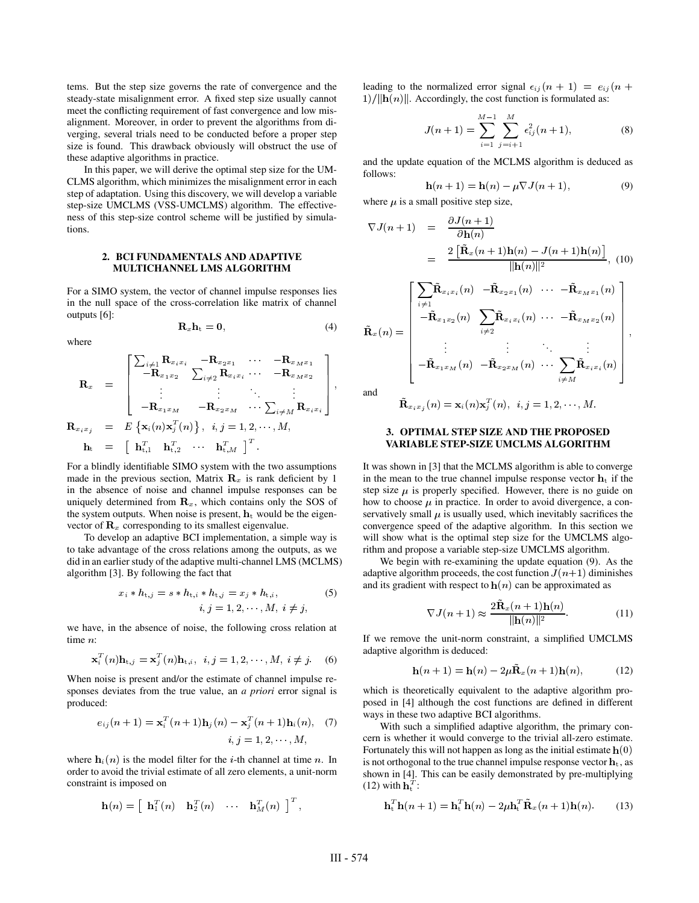tems. But the step size governs the rate of convergence and the steady-state misalignment error. A fixed step size usually cannot meet the conflicting requirement of fast convergence and low misalignment. Moreover, in order to prevent the algorithms from diverging, several trials need to be conducted before a proper step size is found. This drawback obviously will obstruct the use of these adaptive algorithms in practice.

In this paper, we will derive the optimal step size for the UM-CLMS algorithm, which minimizes the misalignment error in each step of adaptation. Using this discovery, we will develop a variable step-size UMCLMS (VSS-UMCLMS) algorithm. The effectiveness of this step-size control scheme will be justified by simulations.

## **2. BCI FUNDAMENTALS AND ADAPTIVE MULTICHANNEL LMS ALGORITHM**

For a SIMO system, the vector of channel impulse responses lies in the null space of the cross-correlation like matrix of channel outputs [6]:  $\mathbf{R}_x \mathbf{h}_t = 0.$ 

$$
\mathbf{R}_x \mathbf{h}_t = \mathbf{0},\tag{4}
$$

where

$$
\mathbf{R}_{x} = \begin{bmatrix} \sum_{i \neq 1} \mathbf{R}_{x_{i}x_{i}} & -\mathbf{R}_{x_{2}x_{1}} & \cdots & -\mathbf{R}_{x_{M}x_{1}} \\ -\mathbf{R}_{x_{1}x_{2}} & \sum_{i \neq 2} \mathbf{R}_{x_{i}x_{i}} & \cdots & -\mathbf{R}_{x_{M}x_{2}} \\ \vdots & \vdots & \ddots & \vdots \\ -\mathbf{R}_{x_{1}x_{M}} & -\mathbf{R}_{x_{2}x_{M}} & \cdots & \sum_{i \neq M} \mathbf{R}_{x_{i}x_{i}} \end{bmatrix}, \\ \mathbf{R}_{x_{i}x_{j}} = E\left\{ \mathbf{x}_{i}(n)\mathbf{x}_{j}^{T}(n)\right\}, \quad i, j = 1, 2, \cdots, M, \\ \mathbf{h}_{t} = \left[\begin{array}{ccc} \mathbf{h}_{t,1}^{T} & \mathbf{h}_{t,2}^{T} & \cdots & \mathbf{h}_{t,M}^{T} \end{array}\right]^{T}.
$$

the contract of the contract of the contract of the contract of the contract of the contract of the contract of

the contract of the contract of the contract of the contract of the contract of

For a blindly identifiable SIMO system with the two assumptions made in the previous section, Matrix  $\mathbf{R}_x$  is rank deficient by 1 in the absence of noise and channel impulse responses can be uniquely determined from  $\mathbf{R}_x$ , which contains only the SOS of the system outputs. When noise is present,  $\mathbf{h}_t$  would be the eigen-- would be the eigenvector of  $\mathbf{R}_x$  corresponding to its smallest eigenvalue.

To develop an adaptive BCI implementation, a simple way is to take advantage of the cross relations among the outputs, as we did in an earlier study of the adaptive multi-channel LMS (MCLMS) algorithm [3]. By following the fact that

$$
x_i * h_{t,j} = s * h_{t,i} * h_{t,j} = x_j * h_{t,i},
$$
  
\n
$$
i, j = 1, 2, \cdots, M, i \neq j,
$$
\n(5)

we have, in the absence of noise, the following cross relation at time  $n$ :

$$
\mathbf{x}_i^T(n)\mathbf{h}_{t,j} = \mathbf{x}_j^T(n)\mathbf{h}_{t,i}, \quad i,j = 1,2,\cdots,M, \quad i \neq j. \tag{6}
$$

When noise is present and/or the estimate of channel impulse responses deviates from the true value, an *a priori* error signal is produced:

$$
e_{ij}(n+1) = \mathbf{x}_i^T(n+1)\mathbf{h}_j(n) - \mathbf{x}_j^T(n+1)\mathbf{h}_i(n), \quad (7)
$$
  

$$
i, j = 1, 2, \cdots, M,
$$

where  $\mathbf{h}_i(n)$  is the model filter for the *i*-th channel at time *n*. In order to avoid the trivial estimate of all zero elements, a unit-norm constraint is imposed on

$$
\mathbf{h}(n) = \begin{bmatrix} \mathbf{h}_1^T(n) & \mathbf{h}_2^T(n) & \cdots & \mathbf{h}_M^T(n) \end{bmatrix}^T,
$$

leading to the normalized error signal  $\epsilon_{ij}(n+1) = e_{ij}(n+1)$ leading to the no<br>1)/||**h**(*n*)||. Acco  $1)/\|\mathbf{h}(n)\|$ . Accordingly, the cost function is formulated as:

$$
J(n+1) = \sum_{i=1}^{M-1} \sum_{j=i+1}^{M} \epsilon_{ij}^2(n+1),
$$
 (8)

and the update equation of the MCLMS algorithm is deduced as follows:

$$
\mathbf{h}(n+1) = \mathbf{h}(n) - \mu \nabla J(n+1),\tag{9}
$$

where  $\mu$  is a small positive step size,

$$
\nabla J(n+1) = \frac{\partial J(n+1)}{\partial \mathbf{h}(n)}
$$
  
= 
$$
\frac{2 \left[ \tilde{\mathbf{R}}_x(n+1) \mathbf{h}(n) - J(n+1) \mathbf{h}(n) \right]}{\|\mathbf{h}(n)\|^2},
$$
 (10)

$$
\tilde{\mathbf{R}}_x(n) = \begin{bmatrix}\n\sum_{i \neq 1} \tilde{\mathbf{R}}_{x_i x_i}(n) & -\tilde{\mathbf{R}}_{x_2 x_1}(n) & \cdots & -\tilde{\mathbf{R}}_{x_M x_1}(n) \\
-\tilde{\mathbf{R}}_{x_1 x_2}(n) & \sum_{i \neq 2} \tilde{\mathbf{R}}_{x_i x_i}(n) & \cdots & -\tilde{\mathbf{R}}_{x_M x_2}(n) \\
\vdots & \vdots & \ddots & \vdots \\
-\tilde{\mathbf{R}}_{x_1 x_M}(n) & -\tilde{\mathbf{R}}_{x_2 x_M}(n) & \cdots & \sum_{i \neq M} \tilde{\mathbf{R}}_{x_i x_i}(n)\n\end{bmatrix},
$$

and

# ${\bf K}_{x_ix_j}\left(n\right)={\bf X}_i(n){\bf X}_j\left(n\right),\;\;i,j=1,2,\cdots,M.$

## **3. OPTIMAL STEP SIZE AND THE PROPOSED VARIABLE STEP-SIZE UMCLMS ALGORITHM**

It was shown in [3] that the MCLMS algorithm is able to converge It was shown in [3] that the MCLMS algorithm is able to converge<br>in the mean to the true channel impulse response vector  $\mathbf{h}_t$  if the step size  $\mu$  is properly specified. However, there is no guide on how to choose  $\mu$  in practice. In order to avoid divergence, a conservatively small  $\mu$  is usually used, which inevitably sacrifices the convergence speed of the adaptive algorithm. In this section we will show what is the optimal step size for the UMCLMS algorithm and propose a variable step-size UMCLMS algorithm.

We begin with re-examining the update equation (9). As the adaptive algorithm proceeds, the cost function  $\hat{J}(n+1)$  diminishes and its gradient with respect to  $h(n)$  can be approximated as (*n*) can be approximated as<br> $\tilde{\mathbf{R}}_x(n+1)\mathbf{h}(n)$ 

$$
\nabla J(n+1) \approx \frac{2\tilde{\mathbf{R}}_x(n+1)\mathbf{h}(n)}{\|\mathbf{h}(n)\|^2}.
$$
 (11)

If we remove the unit-norm constraint, a simplified UMCLMS adaptive algorithm is deduced:

$$
\mathbf{h}(n+1) = \mathbf{h}(n) - 2\mu \tilde{\mathbf{R}}_x(n+1)\mathbf{h}(n),\tag{12}
$$

which is theoretically equivalent to the adaptive algorithm proposed in [4] although the cost functions are defined in different ways in these two adaptive BCI algorithms.

With such a simplified adaptive algorithm, the primary concern is whether it would converge to the trivial all-zero estimate.<br>Fortunately this will not happen as long as the initial estimate  $h(0)$  $\sqrt{a}$ Fortunately this will not happen as long as the initial estimate  $h(0)$  is not orthogonal to the true channel impulse response vector  $h_t$ , as  $_{t}$ , as shown in [4]. This can be easily demonstrated by pre-multiplying (12) with  $\mathbf{h}_t^T$ : with  $\mathbf{h}^I_t$  :

$$
\mathbf{h}_t^T \mathbf{h}(n+1) = \mathbf{h}_t^T \mathbf{h}(n) - 2\mu \mathbf{h}_t^T \tilde{\mathbf{R}}_x(n+1) \mathbf{h}(n).
$$
 (13)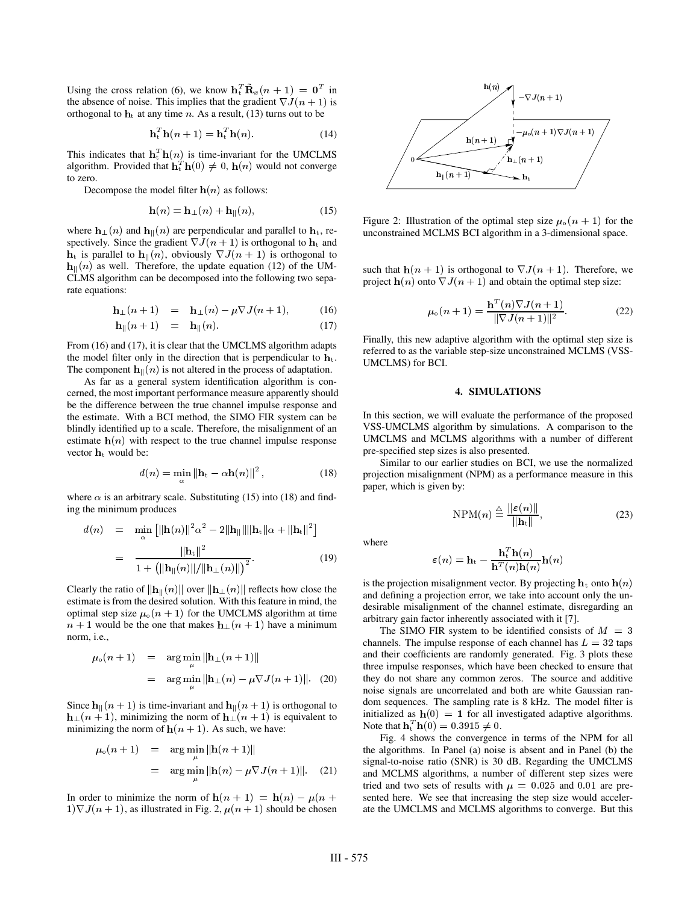Using the cross relation (6), we know  $\mathbf{h}_t^T \tilde{\mathbf{R}}_x(n+1) = \mathbf{0}^T$  in the absence of noise. This implies that the gradient  $\nabla J(n+1)$  is the absence of noise. This implies that the gradient  $\nabla \hat{J}(n+1)$ <br>orthogonal to  $\mathbf{h}_t$  at any time *n*. As a result, (13) turns out to be<br> $\mathbf{h}_t^T \mathbf{h}(n+1) = \mathbf{h}_t^T \mathbf{h}(n)$ .

$$
\mathbf{h}_t^T \mathbf{h}(n+1) = \mathbf{h}_t^T \mathbf{h}(n) \tag{14}
$$

This indicates that  $\mathbf{h}_t^T \mathbf{h}(n)$  is time-invariant for the UMCLMS<br>algorithm. Provided that  $\mathbf{h}_t^T \mathbf{h}(0) \neq 0$ ,  $\mathbf{h}(n)$  would not converge  $\mathbf{H}_{\text{t}}^{T} \mathbf{h}(0) \neq 0$ ,  $\mathbf{h}(n)$  would not converge to zero. Production is the model filter  $h(n)$  as follows:

$$
\mathbf{h}(n) = \mathbf{h}_{\perp}(n) + \mathbf{h}_{\parallel}(n),\tag{15}
$$

where  $\mathbf{h}_{\perp}(n)$  and  $\mathbf{h}_{\parallel}(n)$  are perpendicular and parallel to  $\mathbf{h}_{\text{t}}$ , rewhere  $\mathbf{h}_{\perp}(n)$  and  $\mathbf{h}_{\parallel}(n)$  are perpendicular and parallel to  $\mathbf{h}_{\rm t}$ , respectively. Since the gradient  $\nabla J(n + 1)$  is orthogonal to  $\mathbf{h}_{\rm t}$  is parallel to  $\mathbf{h}_{\parallel}(n)$ , obviously  $\nabla J(n + 1)$  is orth  $\mathbf{h}_{\text{t}}$  is parallel to  $\mathbf{h}_{\parallel}(n)$ , obviously  $\nabla J(n+1)$  is orthogonal to  $\mathfrak{g}_\parallel(n)$  as well. Therefore, the update equation (12) of the UM-CLMS algorithm can be decomposed into the following two separate equations:

$$
\mathbf{h}_{\perp}(n+1) = \mathbf{h}_{\perp}(n) - \mu \nabla J(n+1), \quad (16)
$$

$$
\mathbf{h}_{\parallel}(n+1) = \mathbf{h}_{\parallel}(n). \tag{17}
$$

From (16) and (17), it is clear that the UMCLMS algorithm adapts ref<br>the model filter only in the direction that is perpendicular to  $\mathbf{h}_t$ . the model filter only in the direction that is perpendicular to  $\mathbf{h}_t$ .<br>The component  $\mathbf{h}_{\parallel}(n)$  is not altered in the process of adaptation.  $\mathbf{u}_\parallel(n)$  is not altered in the process of adaptation.

As far as a general system identification algorithm is concerned, the most important performance measure apparently should be the difference between the true channel impulse response and the estimate. With a BCI method, the SIMO FIR system can be blindly identified up to a scale. Therefore, the misalignment of an estimate  $h(n)$  with respect to the true channel impulse response estimate  $h(n)$  with respect to the true channel impulse response estimate  $h(n)$  with<br>vector  $h_t$  would be:

$$
d(n) = \min_{\alpha} \|\mathbf{h}_{t} - \alpha \mathbf{h}(n)\|^2, \qquad (18)
$$

where  $\alpha$  is an arbitrary scale. Substituting (15) into (18) and finding the minimum produces

$$
d(n) = \min_{\alpha} \left[ \|\mathbf{h}(n)\|^2 \alpha^2 - 2\|\mathbf{h}_{\parallel}\| \|\mathbf{h}_{\mathrm{t}}\| \alpha + \|\mathbf{h}_{\mathrm{t}}\|^2 \right]
$$
  
= 
$$
\frac{\|\mathbf{h}_{\mathrm{t}}\|^2}{1 + \left( \|\mathbf{h}_{\parallel}(n)\| / \|\mathbf{h}_{\perp}(n)\| \right)^2}.
$$
 (19)

Clearly the ratio of  $\|\mathbf{h}_{\parallel}(n)\|$  over  $\|\mathbf{h}_{\perp}(n)\|$  reflects how close the estimate is from the desired solution. With this feature in mind, the optimal step size  $\mu_0(n+1)$  for the UMCLMS algorithm at time  $n+1$  would be the one that makes  $\mathbf{h}_{\perp}(n+1)$  have a minimum  $\perp$  (n + 1) have a minimum norm, i.e.,

$$
\mu_0(n+1) = \arg \min_{\mu} \|\mathbf{h}_{\perp}(n+1)\|
$$
  
= 
$$
\arg \min_{\mu} \|\mathbf{h}_{\perp}(n) - \mu \nabla J(n+1)\|.
$$
 (20)

Since  $\mathbf{h}_{\parallel}(n+1)$  is time-invariant and  $\mathbf{h}_{\parallel}(n+1)$  is orthogonal to  $\mathbf{h}_{\perp}(n+1)$ , minimizing the norm of  $\mathbf{h}_{\perp}(n+1)$  is equivalent to  $\mathbf{h}_{\perp}(n+1)$ , minimizing the norm of  $\mathbf{h}_{\perp}(n+1)$  is equivalent to minimizing the norm of  $\mathbf{h}(n+1)$ . As such, we have:  $(n + 1)$ . As such, we have:<br>rg min  $\|\mathbf{h}(n + 1)\|$ 

$$
\mu_0(n+1) = \arg \min_{\mu} ||\mathbf{h}(n+1)||
$$
  
= 
$$
\arg \min_{\mu} ||\mathbf{h}(n) - \mu \nabla J(n+1)||. \quad (21)
$$

In order to minimize the norm of  $h(n + 1) = h(n) - \mu(n + \text{set})$  $(1)\nabla J(n+1)$ , as illustrated in Fig. 2,  $\mu(n+1)$  should be chosen



Figure 2: Illustration of the optimal step size  $\mu_0(n+1)$  for the unconstrained MCLMS BCI algorithm in a 3-dimensional space.

such that  $h(n + 1)$  is orthogonal to  $\nabla J(n + 1)$ . Therefore, we project  $h(n)$  onto  $\nabla J(n + 1)$  and obtain the optimal step size:  $(n)$  onto  $\nabla J(n + 1)$  and obtain the optimal step size:

$$
\mu_0(n+1) = \frac{\mathbf{h}^T(n)\nabla J(n+1)}{\|\nabla J(n+1)\|^2}.
$$
 (22)

Finally, this new adaptive algorithm with the optimal step size is referred to as the variable step-size unconstrained MCLMS (VSS-UMCLMS) for BCI.

#### **4. SIMULATIONS**

In this section, we will evaluate the performance of the proposed VSS-UMCLMS algorithm by simulations. A comparison to the UMCLMS and MCLMS algorithms with a number of different pre-specified step sizes is also presented.

Similar to our earlier studies on BCI, we use the normalized projection misalignment (NPM) as a performance measure in this paper, which is given by:

$$
NPM(n) \stackrel{\triangle}{=} \frac{\|\varepsilon(n)\|}{\|\mathbf{h}_{\mathbf{t}}\|},\tag{23}
$$

where

$$
\boldsymbol{\varepsilon}(n) = \mathbf{h}_{\mathrm{t}} - \frac{\mathbf{h}_{\mathrm{t}}^T \mathbf{h}(n)}{\mathbf{h}^T(n)\mathbf{h}(n)} \mathbf{h}(n)
$$

 $h^{(n)}h^{(n)}$ <br>is the projection misalignment vector. By projecting  $h_t$  onto  $h(n)$ and defining a projection error, we take into account only the undesirable misalignment of the channel estimate, disregarding an arbitrary gain factor inherently associated with it [7].

The SIMO FIR system to be identified consists of  $M = 3$ channels. The impulse response of each channel has  $L = 32$  taps and their coefficients are randomly generated. Fig. 3 plots these three impulse responses, which have been checked to ensure that they do not share any common zeros. The source and additive noise signals are uncorrelated and both are white Gaussian random sequences. The sampling rate is 8 kHz. The model filter is initialized as  $h(0) = 1$  for all investigated adaptive algorithms. initialized as  $h(0) = 1$  for all investigated adaptive algorithms.<br>Note that  $h_t^T h(0) = 0.3915 \neq 0$ .  $_{t}^{T}$  h(0) = 0.3915  $\neq$  0.

Fig. 4 shows the convergence in terms of the NPM for all the algorithms. In Panel (a) noise is absent and in Panel (b) the signal-to-noise ratio (SNR) is 30 dB. Regarding the UMCLMS and MCLMS algorithms, a number of different step sizes were tried and two sets of results with  $\mu = 0.025$  and 0.01 are presented here. We see that increasing the step size would accelerate the UMCLMS and MCLMS algorithms to converge. But this